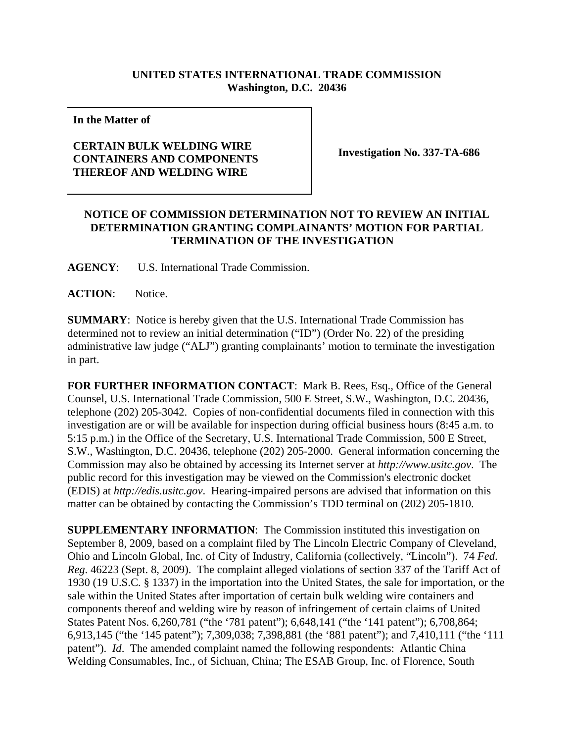## **UNITED STATES INTERNATIONAL TRADE COMMISSION Washington, D.C. 20436**

**In the Matter of** 

## **CERTAIN BULK WELDING WIRE CONTAINERS AND COMPONENTS THEREOF AND WELDING WIRE**

**Investigation No. 337-TA-686**

## **NOTICE OF COMMISSION DETERMINATION NOT TO REVIEW AN INITIAL DETERMINATION GRANTING COMPLAINANTS' MOTION FOR PARTIAL TERMINATION OF THE INVESTIGATION**

**AGENCY**: U.S. International Trade Commission.

ACTION: Notice.

**SUMMARY**: Notice is hereby given that the U.S. International Trade Commission has determined not to review an initial determination ("ID") (Order No. 22) of the presiding administrative law judge ("ALJ") granting complainants' motion to terminate the investigation in part.

**FOR FURTHER INFORMATION CONTACT**: Mark B. Rees, Esq., Office of the General Counsel, U.S. International Trade Commission, 500 E Street, S.W., Washington, D.C. 20436, telephone (202) 205-3042. Copies of non-confidential documents filed in connection with this investigation are or will be available for inspection during official business hours (8:45 a.m. to 5:15 p.m.) in the Office of the Secretary, U.S. International Trade Commission, 500 E Street, S.W., Washington, D.C. 20436, telephone (202) 205-2000. General information concerning the Commission may also be obtained by accessing its Internet server at *http://www.usitc.gov*. The public record for this investigation may be viewed on the Commission's electronic docket (EDIS) at *http://edis.usitc.gov*. Hearing-impaired persons are advised that information on this matter can be obtained by contacting the Commission's TDD terminal on (202) 205-1810.

**SUPPLEMENTARY INFORMATION:** The Commission instituted this investigation on September 8, 2009, based on a complaint filed by The Lincoln Electric Company of Cleveland, Ohio and Lincoln Global, Inc. of City of Industry, California (collectively, "Lincoln"). 74 *Fed*. *Reg*. 46223 (Sept. 8, 2009). The complaint alleged violations of section 337 of the Tariff Act of 1930 (19 U.S.C. § 1337) in the importation into the United States, the sale for importation, or the sale within the United States after importation of certain bulk welding wire containers and components thereof and welding wire by reason of infringement of certain claims of United States Patent Nos. 6,260,781 ("the '781 patent"); 6,648,141 ("the '141 patent"); 6,708,864; 6,913,145 ("the '145 patent"); 7,309,038; 7,398,881 (the '881 patent"); and 7,410,111 ("the '111 patent"). *Id*. The amended complaint named the following respondents: Atlantic China Welding Consumables, Inc., of Sichuan, China; The ESAB Group, Inc. of Florence, South